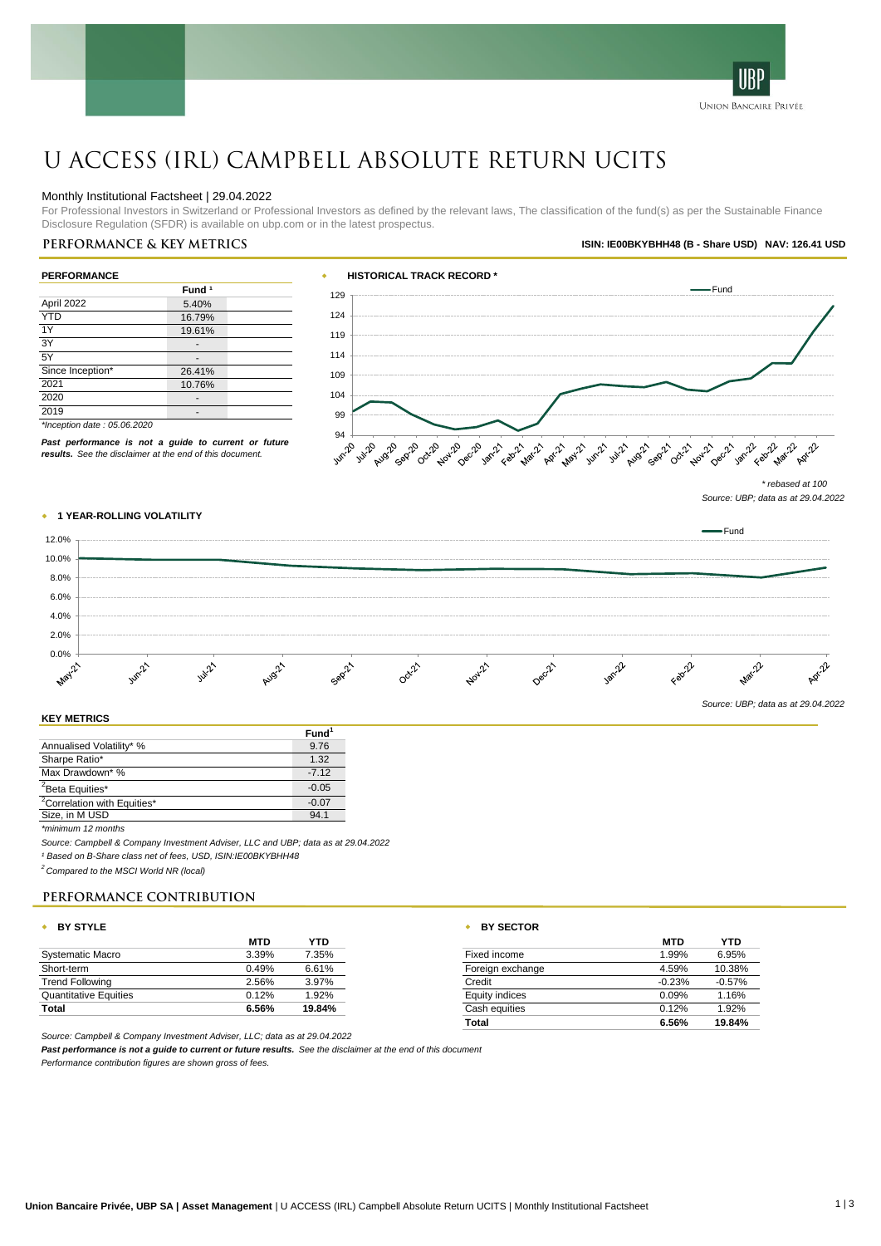

# U ACCESS (IRL) Campbell Absolute Return UCITS

# Monthly Institutional Factsheet | 29.04.2022

For Professional Investors in Switzerland or Professional Investors as defined by the relevant laws, The classification of the fund(s) as per the Sustainable Finance Disclosure Regulation (SFDR) is available on ubp.com or in the latest prospectus.

# **Performance & key metrics ISIN: IE00BKYBHH48 (B - Share USD) NAV: 126.41 USD**

| <b>PERFORMANCE</b> |                   |  |  |
|--------------------|-------------------|--|--|
|                    | Fund <sup>1</sup> |  |  |
| April 2022         | 5.40%             |  |  |
| <b>YTD</b>         | 16.79%            |  |  |
| 1Y                 | 19.61%            |  |  |
| 3Y                 | -                 |  |  |
| 5Y                 |                   |  |  |
| Since Inception*   | 26.41%            |  |  |
| 2021               | 10.76%            |  |  |
| 2020               |                   |  |  |
| 2019               |                   |  |  |



*Past performance is not a guide to current or future results. See the disclaimer at the end of this document.*

*\*Inception date : 05.06.2020*





# **KEY METRICS**

|                                         | runu    |
|-----------------------------------------|---------|
| Annualised Volatility* %                | 9.76    |
| Sharpe Ratio*                           | 1.32    |
| Max Drawdown* %                         | $-712$  |
| <sup>2</sup> Beta Equities*             | $-0.05$ |
| <sup>2</sup> Correlation with Equities* | $-0.07$ |
| Size, in M USD                          | 94.1    |
|                                         |         |

*\*minimum 12 months*

*Source: Campbell & Company Investment Adviser, LLC and UBP; data as at 29.04.2022*

*¹ Based on B-Share class net of fees, USD, ISIN:IE00BKYBHH48*

*<sup>2</sup> Compared to the MSCI World NR (local)*

# **Performance Contribution**

# w **BY STYLE** w **BY SECTOR**

|                              | <b>MTD</b> | YTD     |                           | <b>MTD</b> | <b>YTD</b> |
|------------------------------|------------|---------|---------------------------|------------|------------|
| Systematic Macro             | 3.39%      | 7.35%   | Fixed income              | 1.99%      | 6.95%      |
| Short-term                   | 0.49%      | 6.61%   | Foreign exchange          | 4.59%      | 10.38%     |
| <b>Trend Following</b>       | 2.56%      | 3.97%   | Credit                    | $-0.23%$   | $-0.57%$   |
| <b>Quantitative Equities</b> | 0.12%      | $.92\%$ | Equity indices            | 0.09%      | 1.16%      |
| Total                        | 6.56%      | 19.84%  | Cash equities             | 0.12%      | 1.92%      |
|                              |            |         | <b>The College Street</b> | $C$ For    | 10.0101    |

*Source: Campbell & Company Investment Adviser, LLC; data as at 29.04.2022*

*Past performance is not a guide to current or future results. See the disclaimer at the end of this document*

*Performance contribution figures are shown gross of fees.*

| MTD   | YTD    | <b>MTD</b>                | <b>YTD</b> |
|-------|--------|---------------------------|------------|
| 3.39% | 7.35%  | 1.99%<br>Fixed income     | 6.95%      |
| ).49% | 6.61%  | 4.59%<br>Foreign exchange | 10.38%     |
| 2.56% | 3.97%  | $-0.23%$<br>Credit        | $-0.57%$   |
| 0.12% | 1.92%  | 0.09%<br>Equity indices   | 1.16%      |
| 5.56% | 19.84% | 0.12%<br>Cash equities    | 1.92%      |
|       |        | 6.56%<br>Total            | 19.84%     |
|       |        |                           |            |

**Fund<sup>1</sup>**

*<sup>\*</sup> rebased at 100 Source: UBP; data as at 29.04.2022*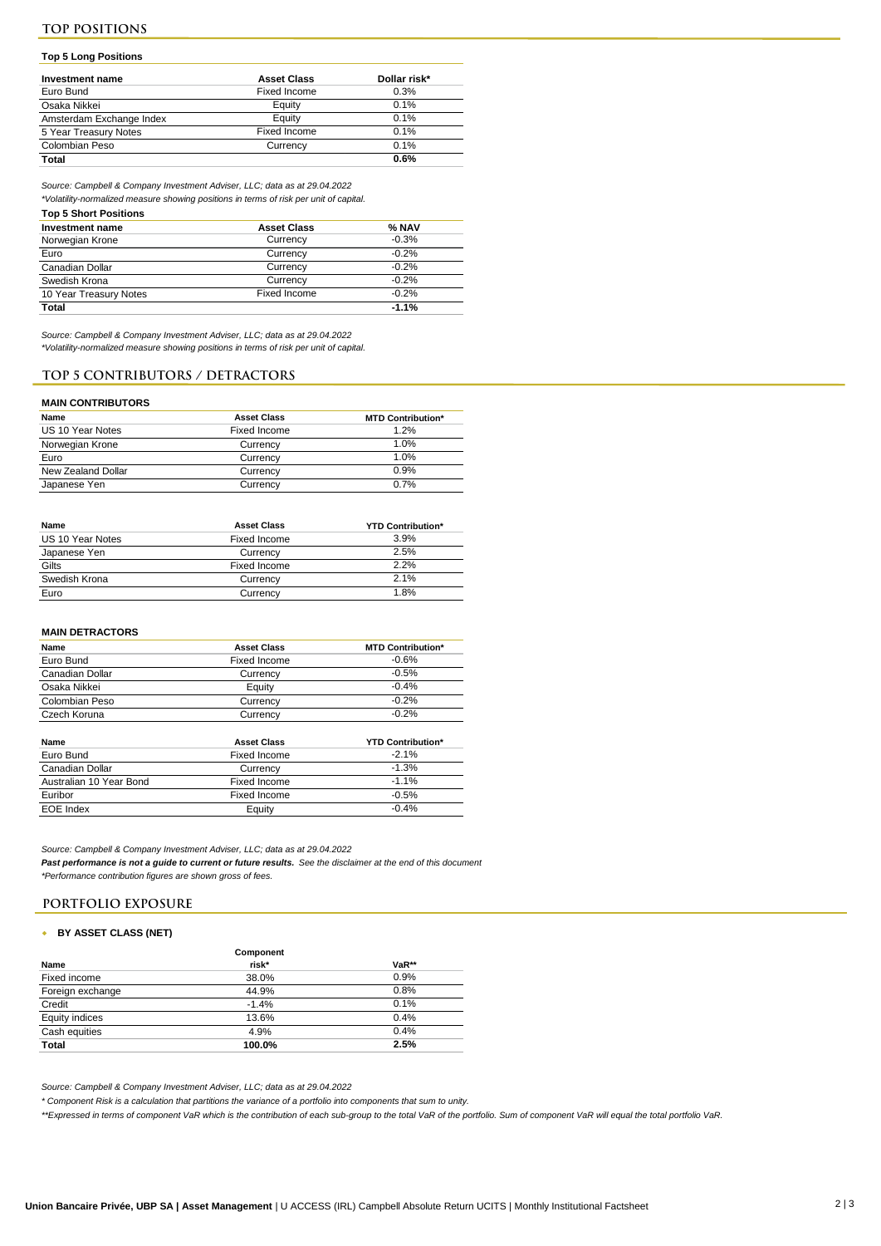# **Top 5 Long Positions**

| Investment name          | <b>Asset Class</b> | Dollar risk* |
|--------------------------|--------------------|--------------|
| Euro Bund                | Fixed Income       | 0.3%         |
| Osaka Nikkei             | Equity             | 0.1%         |
| Amsterdam Exchange Index | Eauity             | 0.1%         |
| 5 Year Treasury Notes    | Fixed Income       | 0.1%         |
| Colombian Peso           | Currency           | 0.1%         |
| Total                    |                    | 0.6%         |

*Source: Campbell & Company Investment Adviser, LLC; data as at 29.04.2022*

*\*Volatility-normalized measure showing positions in terms of risk per unit of capital.* 

### **Top 5 Short Positions**

| Investment name        | <b>Asset Class</b> | % NAV   |
|------------------------|--------------------|---------|
| Norwegian Krone        | Currency           | $-0.3%$ |
| Euro                   | Currency           | $-0.2%$ |
| Canadian Dollar        | Currency           | $-0.2%$ |
| Swedish Krona          | Currency           | $-0.2%$ |
| 10 Year Treasury Notes | Fixed Income       | $-0.2%$ |
| Total                  |                    | $-1.1%$ |

*Source: Campbell & Company Investment Adviser, LLC; data as at 29.04.2022 \*Volatility-normalized measure showing positions in terms of risk per unit of capital.* 

# **TOP 5 CONTRIBUTORS / DETRACTORS**

### **MAIN CONTRIBUTORS**

| <b>Asset Class</b> | <b>MTD Contribution*</b> |
|--------------------|--------------------------|
| Fixed Income       | 1.2%                     |
| Currency           | 1.0%                     |
| Currency           | 1.0%                     |
| Currency           | 0.9%                     |
| Currency           | 0.7%                     |
|                    |                          |

| Name             | <b>Asset Class</b> | <b>YTD Contribution*</b> |
|------------------|--------------------|--------------------------|
| US 10 Year Notes | Fixed Income       | 3.9%                     |
| Japanese Yen     | Currency           | 2.5%                     |
| Gilts            | Fixed Income       | 2.2%                     |
| Swedish Krona    | Currency           | 2.1%                     |
| Euro             | Currency           | 1.8%                     |

### **MAIN DETRACTORS**

| טטענטאנאנדע מאט |                    |                          |
|-----------------|--------------------|--------------------------|
| Name            | <b>Asset Class</b> | <b>MTD Contribution*</b> |
| Euro Bund       | Fixed Income       | $-0.6%$                  |
| Canadian Dollar | Currency           | $-0.5%$                  |
| Osaka Nikkei    | Eauity             | $-0.4%$                  |
| Colombian Peso  | Currency           | $-0.2%$                  |
| Czech Koruna    | Currency           | $-0.2%$                  |
|                 |                    |                          |

| Name                    | <b>Asset Class</b> | <b>YTD Contribution*</b> |
|-------------------------|--------------------|--------------------------|
| Euro Bund               | Fixed Income       | $-21%$                   |
| Canadian Dollar         | Currency           | $-1.3%$                  |
| Australian 10 Year Bond | Fixed Income       | $-1.1%$                  |
| Euribor                 | Fixed Income       | $-0.5%$                  |
| EOE Index               | Eauitv             | $-0.4%$                  |

*Source: Campbell & Company Investment Adviser, LLC; data as at 29.04.2022 Past performance is not a guide to current or future results. See the disclaimer at the end of this document \*Performance contribution figures are shown gross of fees.*

# **PORTFOLIO EXPOSURE**

### w **BY ASSET CLASS (NET)**

| Component |       |  |  |  |
|-----------|-------|--|--|--|
| risk*     | VaR** |  |  |  |
| 38.0%     | 0.9%  |  |  |  |
| 44.9%     | 0.8%  |  |  |  |
| $-1.4%$   | 0.1%  |  |  |  |
| 13.6%     | 0.4%  |  |  |  |
| 4.9%      | 0.4%  |  |  |  |
| 100.0%    | 2.5%  |  |  |  |
|           |       |  |  |  |

*Source: Campbell & Company Investment Adviser, LLC; data as at 29.04.2022*

*\* Component Risk is a calculation that partitions the variance of a portfolio into components that sum to unity.*

*\*\*Expressed in terms of component VaR which is the contribution of each sub-group to the total VaR of the portfolio. Sum of component VaR will equal the total portfolio VaR.*